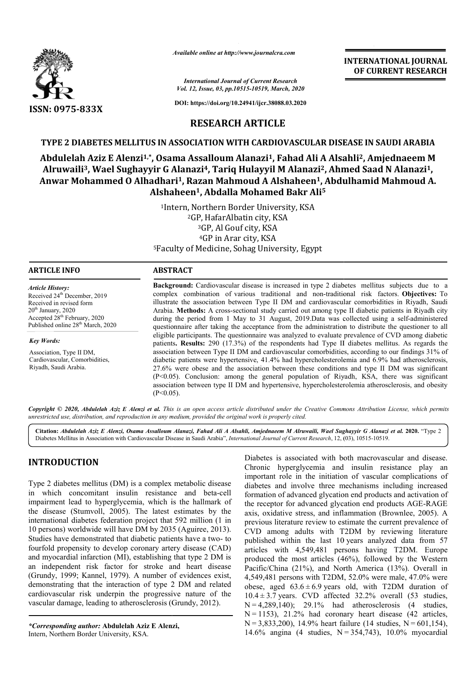

*Available online at http://www.journalcra.com*

*International Journal of Current Research Vol. 12, Issue, 03, pp.10515-10519, March, 2020* **INTERNATIONAL JOURNAL OF CURRENT RESEARCH**

**DOI: https://doi.org/10.24941/ijcr.38088.03.2020**

## **RESEARCH ARTICLE**

### **TYPE 2 DIABETES MELLITUS IN ASSOCIATION WITH CARDIOVASCULAR DISEASE IN SAUDI ARABIA**

# Abdulelah Aziz E Alenzi<sup>1,</sup>\*, Osama Assalloum Alanazi<sup>1</sup>, Fahad Ali A Alsahli<sup>2</sup>, Amjednaeem M Alruwaili<sup>3</sup>, Wael Sughayyir G Alanazi<sup>4</sup>, Tariq Hulayyil M Alanazi<sup>2</sup>, Ahmed Saad N Alanazi<sup>1</sup>, Anwar Mohammed O Alhadhari<sup>1</sup>, Razan Mahmoud A Alshaheen<sup>1</sup>, Abdulhamid Mahmoud A. **Alshaheen Alshaheen1, Abdalla Mohamed Bakr Ali5**

<sup>1</sup>Intern, Northern Border University, KSA<br><sup>2</sup>GP, HafarAlbatin city, KSA <sup>5</sup>Faculty of Medicine, Sohag University, Egypt 3GP, Al Gouf city, KSA 4GP in Arar city, KSA

| <b>ARTICLE INFO</b>                                                                                                                                                                                                  | <b>ABSTRACT</b>                                                                                                                                                                                                                                                                                                                                                                                                                                                                                                                                                                                                                                                                                                                                                                                                                                                                                                                                                                                                                                                                                                                                                                                                                        |  |  |
|----------------------------------------------------------------------------------------------------------------------------------------------------------------------------------------------------------------------|----------------------------------------------------------------------------------------------------------------------------------------------------------------------------------------------------------------------------------------------------------------------------------------------------------------------------------------------------------------------------------------------------------------------------------------------------------------------------------------------------------------------------------------------------------------------------------------------------------------------------------------------------------------------------------------------------------------------------------------------------------------------------------------------------------------------------------------------------------------------------------------------------------------------------------------------------------------------------------------------------------------------------------------------------------------------------------------------------------------------------------------------------------------------------------------------------------------------------------------|--|--|
| <b>Article History:</b><br>Received 24 <sup>th</sup> December, 2019<br>Received in revised form<br>$20th$ January, 2020<br>Accepted 28 <sup>th</sup> February, 2020<br>Published online 28 <sup>th</sup> March, 2020 | <b>Background:</b> Cardiovascular disease is increased in type 2 diabetes mellitus subjects due to a<br>complex combination of various traditional and non-traditional risk factors. Objectives: To<br>illustrate the association between Type II DM and cardiovascular comorbidities in Riyadh, Saudi<br>Arabia. Methods: A cross-sectional study carried out among type II diabetic patients in Riyadh city<br>during the period from 1 May to 31 August, 2019. Data was collected using a self-administered<br>questionnaire after taking the acceptance from the administration to distribute the questioner to all<br>eligible participants. The questionnaire was analyzed to evaluate prevalence of CVD among diabetic<br>patients. Results: 290 (17.3%) of the respondents had Type II diabetes mellitus. As regards the<br>association between Type II DM and cardiovascular comorbidities, according to our findings 31% of<br>diabetic patients were hypertensive, 41.4% had hypercholesterolemia and 6.9% had atherosclerosis,<br>27.6% were obese and the association between these conditions and type II DM was significant<br>(P<0.05). Conclusion: among the general population of Riyadh, KSA, there was significant |  |  |
| <b>Key Words:</b><br>Association, Type II DM,<br>Cardiovascular, Comorbidities,<br>Riyadh, Saudi Arabia.                                                                                                             |                                                                                                                                                                                                                                                                                                                                                                                                                                                                                                                                                                                                                                                                                                                                                                                                                                                                                                                                                                                                                                                                                                                                                                                                                                        |  |  |
|                                                                                                                                                                                                                      | association between type II DM and hypertensive, hypercholesterolemia atherosclerosis, and obesity<br>$(P<0.05)$ .                                                                                                                                                                                                                                                                                                                                                                                                                                                                                                                                                                                                                                                                                                                                                                                                                                                                                                                                                                                                                                                                                                                     |  |  |

Copyright © 2020, Abdulelah Aziz E Alenzi et al. This is an open access article distributed under the Creative Commons Attribution License, which permits *unrestricted use, distribution, and reproduction in any medium, provided the original work is properly cited.*

**Citation:** *Abdulelah Aziz E Alenzi, Osama Assalloum Alanazi, Fahad Ali A Alsahli, Amjednaeem M Alruw Alruwaili, Wael Sughayyir G Alanazi aili, Sughayyir et al.* **2020.** "Type 2 Diabetes Mellitus in Association with Cardiovascular Disease in Saudi Arabia Arabia", *International Journal of Current Research*, 12, ( (03), 10515-10519.

## **INTRODUCTION**

Type 2 diabetes mellitus (DM) is a complex metabolic disease in which concomitant insulin resistance and beta beta-cell impairment lead to hyperglycemia, which is the hallmark of the disease (Stumvoll, 2005). The latest estimates by the international diabetes federation project that 592 million (1 in 10 persons) worldwide will have DM by 2035 (Aguiree, 2013). Studies have demonstrated that diabetic patients have a two fourfold propensity to develop coronary artery disease (CAD) and myocardial infarction (MI), establishing that type 2 DM is an independent risk factor for stroke and heart disease (Grundy, 1999; Kannel, 1979). A number of evidences exist, demonstrating that the interaction of type 2 DM and related cardiovascular risk underpin the progressive nature of the vascular damage, leading to atherosclerosis (Grundy, 2012). ederation project that 592 million (1 in<br>will have DM by 2035 (Aguiree, 2013).<br>tied that diabetic patients have a two- to , establishing that type 2 DM is<br>for stroke and heart disease<br>A number of evidences exist,<br>tion of type 2 DM and related<br>the progressive nature of the Diabetes is associated with both macrovascular and disease. Chronic hyperglycemia and insulin resistance play an important role in the initiation of vascular complications of diabetes and involve three mechanisms including increased formation of advanced glycation end products and activation of Diabetes is associated with both macrovascular and disease.<br>Chronic hyperglycemia and insulin resistance play an<br>important role in the initiation of vascular complications of<br>diabetes and involve three mechanisms including axis, oxidative stress, and inflammation (Brownlee, 2005). A previous literature review to estimate the current prevalence of CVD among adults with T2DM by reviewing literature published within the last 10 10 years analyzed data from 57 articles with 4,549,481 persons having T2DM. Europe produced the most articles (46%), followed by the Western Pacific/China (21%), and North America (13%). Overall in 4,549,481 persons with T2DM, 52.0% were male, 47.0% were obese, aged  $63.6 \pm 6.9$  years old, with T2DM duration of  $10.4 \pm 3.7$  years. CVD affected  $32.2\%$  overall (53 studies, N = 4,289,140); 29.1% had atherosclerosis (4 studies, articles with 4,549,481 persons having T2DM. Europe<br>produced the most articles (46%), followed by the Western<br>Pacific/China (21%), and North America (13%). Overall in<br>4,549,481 persons with T2DM, 52.0% were male, 47.0% we N = 3,833,200), 14.9% heart failure (14 studies, N = 601,154), 14.6% angina (4 studies, N = 354,743), 10.0% myocardial oxidative stress, and inflammation (Brownlee, 2005). A bus literature review to estimate the current prevalence of among adults with T2DM by reviewing literature **INTERNATIONAL JOURNAL FORM SET AND MALIFORM CONTROL CONSUMPLEMENT RESERVANCE (***Serial And 2019***), <b>Control and 2019**), **ARABIA And 31/3**, **7-8388,33,2010 RTICLE CARDIOVASCULAR DISEASE IN SAUDI ARABIA mazi<sup>1</sup>, <b>F** and an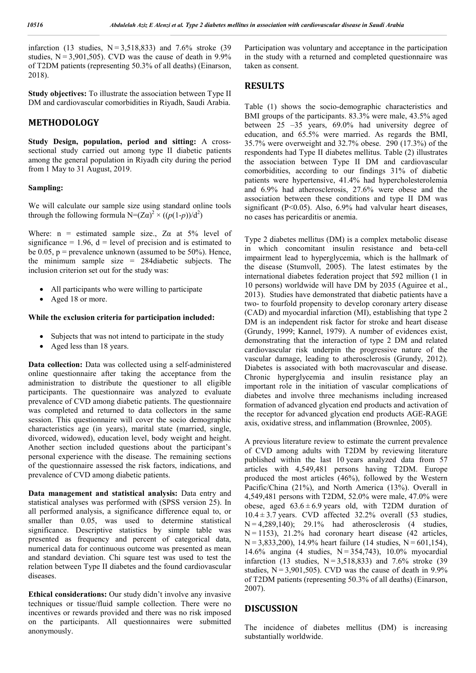infarction (13 studies, N = 3,518,833) and 7.6% stroke (39 studies,  $N = 3,901,505$ . CVD was the cause of death in 9.9% of T2DM patients (representing 50.3% of all deaths) (Einarson, 2018).

**Study objectives:** To illustrate the association between Type II DM and cardiovascular comorbidities in Riyadh, Saudi Arabia.

### **METHODOLOGY**

**Study Design, population, period and sitting:** A crosssectional study carried out among type II diabetic patients among the general population in Riyadh city during the period from 1 May to 31 August, 2019.

#### **Sampling:**

We will calculate our sample size using standard online tools through the following formula  $N = (Z\alpha)^2 \times ((p(1-p))/d^2)$ 

Where:  $n =$  estimated sample size., Z $\alpha$  at 5% level of significance = 1.96,  $d = level of precision and is estimated to$ be  $0.05$ ,  $p =$  prevalence unknown (assumed to be 50%). Hence, the minimum sample size = 284diabetic subjects. The inclusion criterion set out for the study was:

- All participants who were willing to participate
- Aged 18 or more.

#### **While the exclusion criteria for participation included:**

- Subjects that was not intend to participate in the study
- Aged less than 18 years.

**Data collection:** Data was collected using a self-administered online questionnaire after taking the acceptance from the administration to distribute the questioner to all eligible participants. The questionnaire was analyzed to evaluate prevalence of CVD among diabetic patients. The questionnaire was completed and returned to data collectors in the same session. This questionnaire will cover the socio demographic characteristics age (in years), marital state (married, single, divorced, widowed), education level, body weight and height. Another section included questions about the participant's personal experience with the disease. The remaining sections of the questionnaire assessed the risk factors, indications, and prevalence of CVD among diabetic patients.

**Data management and statistical analysis:** Data entry and statistical analyses was performed with (SPSS version 25). In all performed analysis, a significance difference equal to, or smaller than 0.05, was used to determine statistical significance. Descriptive statistics by simple table was presented as frequency and percent of categorical data, numerical data for continuous outcome was presented as mean and standard deviation. Chi square test was used to test the relation between Type II diabetes and the found cardiovascular diseases.

**Ethical considerations:** Our study didn't involve any invasive techniques or tissue/fluid sample collection. There were no incentives or rewards provided and there was no risk imposed on the participants. All questionnaires were submitted anonymously.

Participation was voluntary and acceptance in the participation in the study with a returned and completed questionnaire was taken as consent.

### **RESULTS**

Table (1) shows the socio-demographic characteristics and BMI groups of the participants. 83.3% were male, 43.5% aged between 25 –35 years, 69.0% had university degree of education, and 65.5% were married. As regards the BMI, 35.7% were overweight and 32.7% obese. 290 (17.3%) of the respondents had Type II diabetes mellitus. Table (2) illustrates the association between Type II DM and cardiovascular comorbidities, according to our findings 31% of diabetic patients were hypertensive, 41.4% had hypercholesterolemia and 6.9% had atherosclerosis, 27.6% were obese and the association between these conditions and type II DM was significant (P<0.05). Also, 6.9% had valvular heart diseases, no cases has pericarditis or anemia.

Type 2 diabetes mellitus (DM) is a complex metabolic disease in which concomitant insulin resistance and beta-cell impairment lead to hyperglycemia, which is the hallmark of the disease (Stumvoll, 2005). The latest estimates by the international diabetes federation project that 592 million (1 in 10 persons) worldwide will have DM by 2035 (Aguiree et al., 2013). Studies have demonstrated that diabetic patients have a two- to fourfold propensity to develop coronary artery disease (CAD) and myocardial infarction (MI), establishing that type 2 DM is an independent risk factor for stroke and heart disease (Grundy, 1999; Kannel, 1979). A number of evidences exist, demonstrating that the interaction of type 2 DM and related cardiovascular risk underpin the progressive nature of the vascular damage, leading to atherosclerosis (Grundy, 2012). Diabetes is associated with both macrovascular and disease. Chronic hyperglycemia and insulin resistance play an important role in the initiation of vascular complications of diabetes and involve three mechanisms including increased formation of advanced glycation end products and activation of the receptor for advanced glycation end products AGE-RAGE axis, oxidative stress, and inflammation (Brownlee, 2005).

A previous literature review to estimate the current prevalence of CVD among adults with T2DM by reviewing literature published within the last 10 years analyzed data from 57 articles with 4,549,481 persons having T2DM. Europe produced the most articles (46%), followed by the Western Pacific/China (21%), and North America (13%). Overall in 4,549,481 persons with T2DM, 52.0% were male, 47.0% were obese, aged  $63.6 \pm 6.9$  years old, with T2DM duration of  $10.4 \pm 3.7$  years. CVD affected  $32.2\%$  overall (53 studies, N = 4,289,140); 29.1% had atherosclerosis (4 studies, N = 1153), 21.2% had coronary heart disease (42 articles, N = 3,833,200), 14.9% heart failure (14 studies, N = 601,154), 14.6% angina (4 studies, N = 354,743), 10.0% myocardial infarction (13 studies, N = 3,518,833) and 7.6% stroke (39 studies,  $N = 3,901,505$ . CVD was the cause of death in 9.9% of T2DM patients (representing 50.3% of all deaths) (Einarson, 2007).

### **DISCUSSION**

The incidence of diabetes mellitus (DM) is increasing substantially worldwide.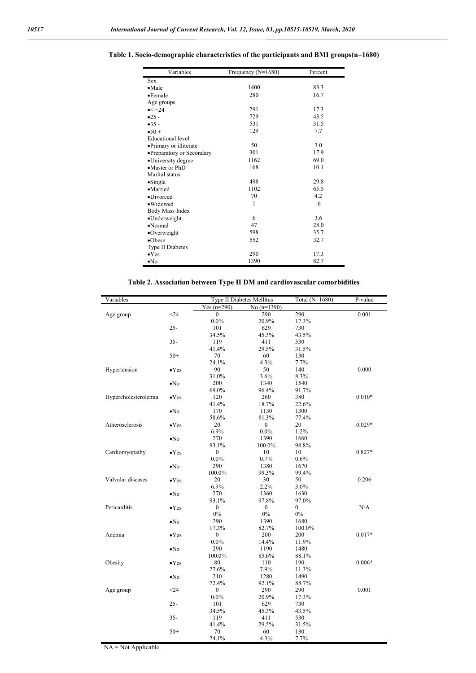| Variables                 | Frequency (N=1680) | Percent           |  |
|---------------------------|--------------------|-------------------|--|
| <b>Sex</b>                |                    |                   |  |
| $\bullet$ Male            | 1400               | 83.3              |  |
| $\bullet$ Female          | 280                | 16.7              |  |
| Age groups                |                    |                   |  |
| $\bullet < = 24$          | 291                | 17.3              |  |
| $•25 -$                   | 729                | 43.5              |  |
| $-35-$                    | 531                | 31.5              |  |
| $\bullet 50+$             | 129                | 7.7               |  |
| <b>Educational</b> level  |                    |                   |  |
| •Primary or illiterate    | 50                 | 3.0               |  |
| •Preparatory or Secondary | 301                | 17.9              |  |
| •University degree        | 1162               | 69.0              |  |
| •Master or PhD            | 168                | 10.1              |  |
| Marital status            |                    |                   |  |
| $\bullet$ Single          | 498                | 29.8              |  |
| •Married                  | 1102               | 65.5              |  |
| •Divorced                 | 70                 | 4.2               |  |
| ·Widowed                  | 1                  | $.6 \overline{)}$ |  |
| Body Mass Index           |                    |                   |  |
| •Underweight              | 6                  | 3.6               |  |
| $\bullet$ Normal          | 47                 | 28.0              |  |
| •Overweight               | 598                | 35.7              |  |
| $\bullet$ Obese           | 552                | 32.7              |  |
| Type II Diabetes          |                    |                   |  |
| $\bullet$ Yes             | 290                | 17.3              |  |
| $\bullet$ No              | 1390               | 82.7              |  |

**Table 1. Socio-demographic characteristics of the participants and BMI groups(n=1680)**

### **Table 2. Association between Type II DM and cardiovascular comorbidities**

| Variables            |               |                  | Type II Diabetes Mellitus | Total (N=1680) | P-value  |
|----------------------|---------------|------------------|---------------------------|----------------|----------|
|                      |               | Yes $(n=290)$    | No $(n=1390)$             |                |          |
| Age group            | $<$ 24        | $\theta$         | 290                       | 290            | 0.001    |
|                      |               | $0.0\%$          | 20.9%                     | 17.3%          |          |
|                      | $25 -$        | 101              | 629                       | 730            |          |
|                      |               | 34.5%            | 45.3%                     | 43.5%          |          |
|                      | $35 -$        | 119              | 411                       | 530            |          |
|                      |               | 41.4%            | 29.5%                     | 31.5%          |          |
|                      | $50+$         | 70               | 60                        | 130            |          |
|                      |               | 24.1%            | 4.3%                      | 7.7%           |          |
| Hypertension         | $\bullet$ Yes | 90               | 50                        | 140            | 0.000    |
|                      |               | 31.0%            | 3.6%                      | 8.3%           |          |
|                      | $\bullet$ No  | 200              | 1340                      | 1540           |          |
|                      |               | 69.0%            | 96.4%                     | 91.7%          |          |
| Hypercholesterolemia | $\bullet$ Yes | 120              | 260                       | 380            | $0.010*$ |
|                      |               | 41.4%            | 18.7%                     | 22.6%          |          |
|                      | $\bullet$ No  | 170              | 1130                      | 1300           |          |
|                      |               | 58.6%            | 81.3%                     | 77.4%          |          |
| Atherosclerosis      | $\bullet$ Yes | 20               | $\boldsymbol{0}$          | 20             | $0.029*$ |
|                      |               | 6.9%             | $0.0\%$                   | 1.2%           |          |
|                      | $\bullet$ No  | 270              | 1390                      | 1660           |          |
|                      |               | 93.1%            | 100.0%                    | 98.8%          |          |
| Cardiomyopathy       | $\bullet$ Yes | $\boldsymbol{0}$ | 10                        | 10             | $0.827*$ |
|                      |               | $0.0\%$          | 0.7%                      | 0.6%           |          |
|                      | $\bullet$ No  | 290              | 1380                      | 1670           |          |
|                      |               | 100.0%           | 99.3%                     | 99.4%          |          |
| Valvular diseases    | $\bullet$ Yes | 20               | 30                        | 50             | 0.206    |
|                      |               | 6.9%             | 2.2%                      | 3.0%           |          |
|                      | $\bullet$ No  | 270              | 1360                      | 1630           |          |
|                      |               | 93.1%            | 97.8%                     | 97.0%          |          |
| Pericarditis         | $\bullet$ Yes | $\mathbf{0}$     | $\mathbf{0}$              | $\overline{0}$ | N/A      |
|                      |               | $0\%$            | $0\%$                     | $0\%$          |          |
|                      | $\bullet$ No  | 290              | 1390                      | 1680           |          |
|                      |               | 17.3%            | 82.7%                     | 100.0%         |          |
| Anemia               | $\bullet$ Yes | $\boldsymbol{0}$ | 200                       | 200            | $0.017*$ |
|                      |               | $0.0\%$          | 14.4%                     | 11.9%          |          |
|                      | $\bullet$ No  | 290              | 1190                      | 1480           |          |
|                      |               | 100.0%           | 85.6%                     | 88.1%          |          |
| Obesity              | $\bullet$ Yes | 80               | 110                       | 190            | $0.006*$ |
|                      |               | 27.6%            | 7.9%                      | 11.3%          |          |
|                      | $\bullet$ No  | 210              | 1280                      | 1490           |          |
|                      |               | 72.4%            | 92.1%                     | 88.7%          |          |
| Age group            | $24$          | $\boldsymbol{0}$ | 290                       | 290            | 0.001    |
|                      |               | $0.0\%$          | 20.9%                     | 17.3%          |          |
|                      | $25 -$        | 101              | 629                       | 730            |          |
|                      |               | 34.5%            | 45.3%                     | 43.5%          |          |
|                      | $35 -$        | 119              | 411                       | 530            |          |
|                      |               | 41.4%            | 29.5%                     | 31.5%          |          |
|                      | $50+$         | 70               | 60                        | 130            |          |
|                      |               | 24.1%            | 4.3%                      | 7.7%           |          |

NA = Not Applicable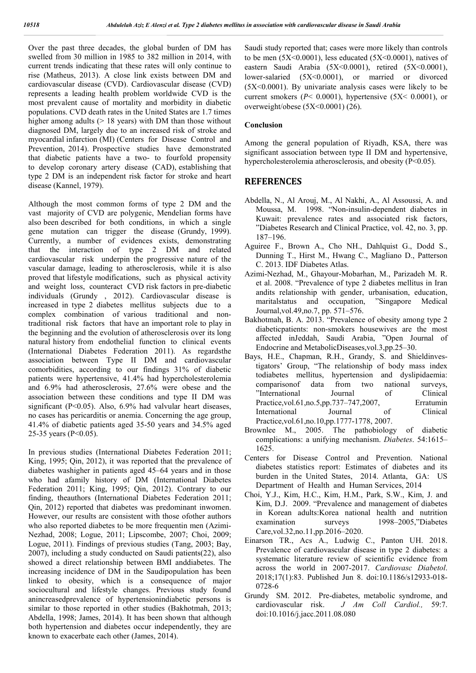Over the past three decades, the global burden of DM has swelled from 30 million in 1985 to 382 million in 2014, with current trends indicating that these rates will only continue to rise (Matheus, 2013). A close link exists between DM and cardiovascular disease (CVD). Cardiovascular disease (CVD) represents a leading health problem worldwide CVD is the most prevalent cause of mortality and morbidity in diabetic populations. CVD death rates in the United States are 1.7 times higher among adults  $(> 18$  years) with DM than those without diagnosed DM, largely due to an increased risk of stroke and myocardial infarction (MI) (Centers for Disease Control and Prevention, 2014). Prospective studies have demonstrated that diabetic patients have a two- to fourfold propensity to develop coronary artery disease (CAD), establishing that type 2 DM is an independent risk factor for stroke and heart disease (Kannel, 1979).

Although the most common forms of type 2 DM and the vast majority of CVD are polygenic, Mendelian forms have also been described for both conditions, in which a single gene mutation can trigger the disease (Grundy, 1999). Currently, a number of evidences exists, demonstrating that the interaction of type 2 DM and related cardiovascular risk underpin the progressive nature of the vascular damage, leading to atherosclerosis, while it is also proved that lifestyle modifications, such as physical activity and weight loss, counteract CVD risk factors in pre-diabetic individuals (Grundy , 2012). Cardiovascular disease is increased in type 2 diabetes mellitus subjects due to a complex combination of various traditional and nontraditional risk factors that have an important role to play in the beginning and the evolution of atherosclerosis over its long natural history from endothelial function to clinical events (International Diabetes Federation 2011). As regardsthe association between Type II DM and cardiovascular comorbidities, according to our findings 31% of diabetic patients were hypertensive, 41.4% had hypercholesterolemia and 6.9% had atherosclerosis, 27.6% were obese and the association between these conditions and type II DM was significant (P<0.05). Also, 6.9% had valvular heart diseases, no cases has pericarditis or anemia. Concerning the age group, 41.4% of diabetic patients aged 35-50 years and 34.5% aged 25-35 years (P<0.05).

In previous studies (International Diabetes Federation 2011; King, 1995; Qin, 2012), it was reported that the prevalence of diabetes washigher in patients aged 45–64 years and in those who had afamily history of DM (International Diabetes Federation 2011; King, 1995; Qin, 2012). Contrary to our finding, theauthors (International Diabetes Federation 2011; Qin, 2012) reported that diabetes was predominant inwomen. However, our results are consistent with those ofother authors who also reported diabetes to be more frequentin men (Azimi-Nezhad, 2008; Logue, 2011; Lipscombe, 2007; Choi, 2009; Logue, 2011). Findings of previous studies (Tang, 2003; Bay, 2007), including a study conducted on Saudi patients(22), also showed a direct relationship between BMI anddiabetes. The increasing incidence of DM in the Saudipopulation has been linked to obesity, which is a consequence of major sociocultural and lifestyle changes. Previous study found anincreasedprevalence of hypertensionindiabetic persons is similar to those reported in other studies (Bakhotmah, 2013; Abdella, 1998; James, 2014). It has been shown that although both hypertension and diabetes occur independently, they are known to exacerbate each other (James, 2014).

Saudi study reported that; cases were more likely than controls to be men  $(5X<0.0001)$ , less educated  $(5X<0.0001)$ , natives of eastern Saudi Arabia  $(5X<0.0001)$ , retired  $(5X<0.0001)$ , lower-salaried  $(5X<0.0001)$ , or married or divorced  $(5X<0.0001)$ . By univariate analysis cases were likely to be current smokers ( $P < 0.0001$ ), hypertensive ( $5X < 0.0001$ ), or overweight/obese  $(5X<0.0001)$   $(26)$ .

### **Conclusion**

Among the general population of Riyadh, KSA, there was significant association between type II DM and hypertensive, hypercholesterolemia atherosclerosis, and obesity (P<0.05).

## **REFERENCES**

- Abdella, N., Al Arouj, M., Al Nakhi, A., Al Assoussi, A. and Moussa, M. 1998. "Non-insulin-dependent diabetes in Kuwait: prevalence rates and associated risk factors, "Diabetes Research and Clinical Practice, vol. 42, no. 3, pp. 187–196.
- Aguiree F., Brown A., Cho NH., Dahlquist G., Dodd S., Dunning T., Hirst M., Hwang C., Magliano D., Patterson C. 2013. IDF Diabetes Atlas.
- Azimi-Nezhad, M., Ghayour-Mobarhan, M., Parizadeh M. R. et al. 2008. "Prevalence of type 2 diabetes mellitus in Iran andits relationship with gender, urbanisation, education, maritalstatus and occupation, Journal,vol.49,no.7, pp. 571–576.
- Bakhotmah, B. A. 2013. "Prevalence of obesity among type 2 diabeticpatients: non-smokers housewives are the most affected inJeddah, Saudi Arabia, "Open Journal of Endocrine and MetabolicDiseases,vol.3,pp.25–30.
- Bays, H.E., Chapman, R.H., Grandy, S. and Shieldinvestigators' Group, "The relationship of body mass index todiabetes mellitus, hypertension and dyslipidaemia: comparisonof data from two national surveys, "International Journal of Clinical Practice,vol.61,no.5,pp.737–747,2007, Erratumin International Journal of Clinical Practice,vol.61,no.10,pp.1777-1778, 2007.
- Brownlee M., 2005. The pathobiology of diabetic complications: a unifying mechanism. *Diabetes*. 54:1615– 1625.
- Centers for Disease Control and Prevention. National diabetes statistics report: Estimates of diabetes and its burden in the United States, 2014. Atlanta, GA: US Department of Health and Human Services, 2014
- Choi, Y.J., Kim, H.C., Kim, H.M., Park, S.W., Kim, J. and Kim, D.J. 2009. "Prevalence and management of diabetes in Korean adults:Korea national health and nutrition examination surveys 1998–2005,"Diabetes Care,vol.32,no.11,pp.2016–2020.
- Einarson TR., Acs A., Ludwig C., Panton UH. 2018. Prevalence of cardiovascular disease in type 2 diabetes: a systematic literature review of scientific evidence from across the world in 2007-2017. *Cardiovasc Diabetol*. 2018;17(1):83. Published Jun 8. doi:10.1186/s12933-018- 0728-6
- Grundy SM. 2012. Pre-diabetes, metabolic syndrome, and cardiovascular risk. *J Am Coll Cardiol.,* 59:7. doi:10.1016/j.jacc.2011.08.080